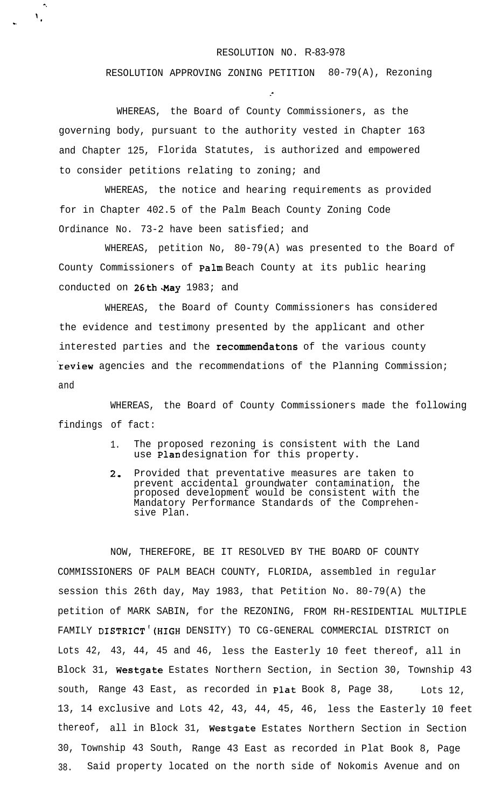## RESOLUTION NO. R-83-978

RESOLUTION APPROVING ZONING PETITION 80-79(A), Rezoning

.-

WHEREAS, the Board of County Commissioners, as the governing body, pursuant to the authority vested in Chapter 163 and Chapter 125, Florida Statutes, is authorized and empowered to consider petitions relating to zoning; and

^. \ .

F

WHEREAS, the notice and hearing requirements as provided for in Chapter 402.5 of the Palm Beach County Zoning Code Ordinance No. 73-2 have been satisfied; and

WHEREAS, petition No, 80-79(A) was presented to the Board of County Commissioners of **Palm** Beach County at its public hearing conducted on  $26th$  May 1983; and

WHEREAS, the Board of County Commissioners has considered the evidence and testimony presented by the applicant and other interested parties and the recommendatons of the various county review agencies and the recommendations of the Planning Commission; and

findings of fact: WHEREAS, the Board of County Commissioners made the following

- 1. The proposed rezoning is consistent with the Land use **Plan** designation for this property.
- 2, Provided that preventative measures are taken to prevent accidental groundwater contamination, the proposed development would be consistent with the Mandatory Performance Standards of the Comprehensive Plan.

NOW, THEREFORE, BE IT RESOLVED BY THE BOARD OF COUNTY COMMISSIONERS OF PALM BEACH COUNTY, FLORIDA, assembled in regular session this 26th day, May 1983, that Petition No. 80-79(A) the petition of MARK SABIN, for the REZONING, FROM RH-RESIDENTIAL MULTIPLE FAMILY DISTRICT'(HIGH DENSITY) TO CG-GENERAL COMMERCIAL DISTRICT on Lots 42, 43, 44, 45 and 46, less the Easterly 10 feet thereof, all in Block 31, Westgate Estates Northern Section, in Section 30, Township 43 south, Range 43 East, as recorded in **Plat** Book 8, Page 38,  $Lots$  12, 13, 14 exclusive and Lots 42, 43, 44, 45, 46, less the Easterly 10 feet thereof, all in Block 31, Westgate Estates Northern Section in Section 30, Township 43 South, Range 43 East as recorded in Plat Book 8, Page 38. Said property located on the north side of Nokomis Avenue and on